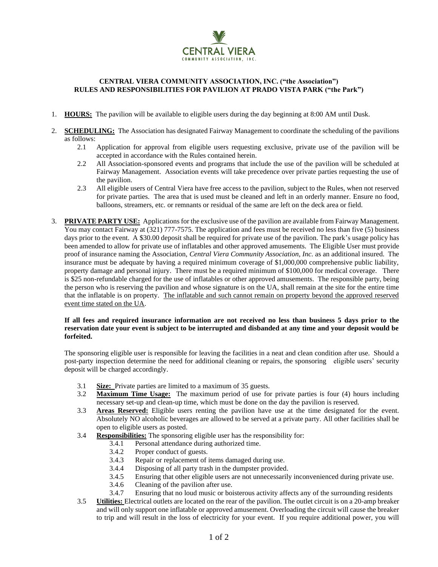

## **CENTRAL VIERA COMMUNITY ASSOCIATION, INC. ("the Association") RULES AND RESPONSIBILITIES FOR PAVILION AT PRADO VISTA PARK ("the Park")**

- 1. **HOURS:** The pavilion will be available to eligible users during the day beginning at 8:00 AM until Dusk.
- 2. **SCHEDULING:** The Association has designated Fairway Management to coordinate the scheduling of the pavilions as follows:
	- 2.1 Application for approval from eligible users requesting exclusive, private use of the pavilion will be accepted in accordance with the Rules contained herein.
	- 2.2 All Association-sponsored events and programs that include the use of the pavilion will be scheduled at Fairway Management. Association events will take precedence over private parties requesting the use of the pavilion.
	- 2.3 All eligible users of Central Viera have free access to the pavilion, subject to the Rules, when not reserved for private parties. The area that is used must be cleaned and left in an orderly manner. Ensure no food, balloons, streamers, etc. or remnants or residual of the same are left on the deck area or field.
- 3. **PRIVATE PARTY USE:** Applications for the exclusive use of the pavilion are available from Fairway Management. You may contact Fairway at (321) 777-7575. The application and fees must be received no less than five (5) business days prior to the event. A \$30.00 deposit shall be required for private use of the pavilion. The park's usage policy has been amended to allow for private use of inflatables and other approved amusements. The Eligible User must provide proof of insurance naming the Association, *Central Viera Community Association, Inc.* as an additional insured. The insurance must be adequate by having a required minimum coverage of \$1,000,000 comprehensive public liability, property damage and personal injury. There must be a required minimum of \$100,000 for medical coverage. There is \$25 non-refundable charged for the use of inflatables or other approved amusements. The responsible party, being the person who is reserving the pavilion and whose signature is on the UA, shall remain at the site for the entire time that the inflatable is on property. The inflatable and such cannot remain on property beyond the approved reserved event time stated on the UA.

## **If all fees and required insurance information are not received no less than business 5 days prior to the reservation date your event is subject to be interrupted and disbanded at any time and your deposit would be forfeited.**

The sponsoring eligible user is responsible for leaving the facilities in a neat and clean condition after use. Should a post-party inspection determine the need for additional cleaning or repairs, the sponsoring eligible users' security deposit will be charged accordingly.

- 3.1 **Size:** Private parties are limited to a maximum of 35 guests.
- 3.2 **Maximum Time Usage:** The maximum period of use for private parties is four (4) hours including necessary set-up and clean-up time, which must be done on the day the pavilion is reserved.
- 3.3 **Areas Reserved:** Eligible users renting the pavilion have use at the time designated for the event. Absolutely NO alcoholic beverages are allowed to be served at a private party. All other facilities shall be open to eligible users as posted.
- 3.4 **Responsibilities:** The sponsoring eligible user has the responsibility for:
	- 3.4.1 Personal attendance during authorized time.
	- 3.4.2 Proper conduct of guests.
	- 3.4.3 Repair or replacement of items damaged during use.
	- 3.4.4 Disposing of all party trash in the dumpster provided.
	- 3.4.5 Ensuring that other eligible users are not unnecessarily inconvenienced during private use.
	- 3.4.6 Cleaning of the pavilion after use.
	- 3.4.7 Ensuring that no loud music or boisterous activity affects any of the surrounding residents
- 3.5 **Utilities:** Electrical outlets are located on the rear of the pavilion. The outlet circuit is on a 20-amp breaker and will only support one inflatable or approved amusement. Overloading the circuit will cause the breaker to trip and will result in the loss of electricity for your event. If you require additional power, you will